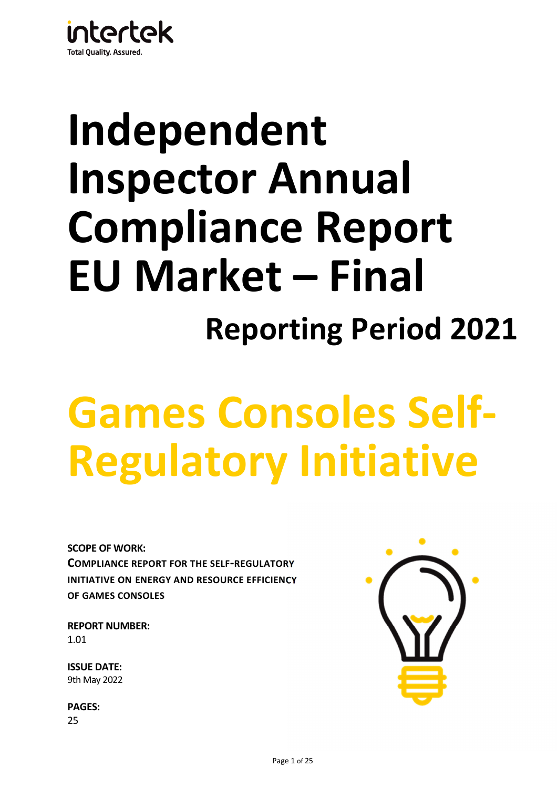

# **Independent Inspector Annual Compliance Report EU Market – Final Reporting Period 2021**

# **Games Consoles Self-Regulatory Initiative**

**SCOPE OF WORK: COMPLIANCE REPORT FOR THE SELF-REGULATORY INITIATIVE ON ENERGY AND RESOURCE EFFICIENCY OF GAMES CONSOLES**

**REPORT NUMBER:** 1.01

**ISSUE DATE:**  9th May 2022

**PAGES:**  25

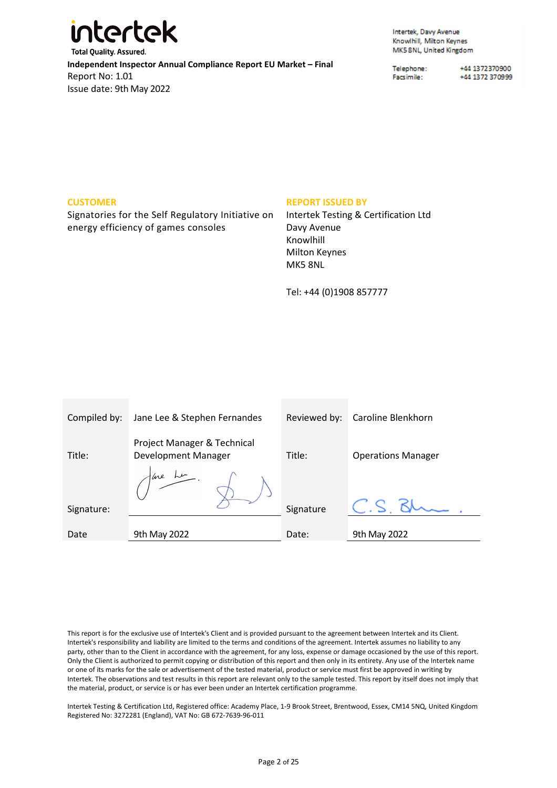

Intertek, Davy Avenue Knowlhill, Milton Keynes MK5 8NL, United Kingdom

Telephone: Facsimile:

+44 1372370900 +44 1372 370999

#### **CUSTOMER**

Signatories for the Self Regulatory Initiative on energy efficiency of games consoles

#### **REPORT ISSUED BY**

Intertek Testing & Certification Ltd Davy Avenue Knowlhill Milton Keynes MK5 8NL

Tel: +44 (0)1908 857777

| Compiled by: | Jane Lee & Stephen Fernandes                       | Reviewed by: | Caroline Blenkhorn        |
|--------------|----------------------------------------------------|--------------|---------------------------|
| Title:       | Project Manager & Technical<br>Development Manager | Title:       | <b>Operations Manager</b> |
|              | we Le                                              |              |                           |
| Signature:   |                                                    | Signature    |                           |
|              |                                                    |              |                           |
| Date         | 9th May 2022                                       | Date:        | 9th May 2022              |

This report is for the exclusive use of Intertek's Client and is provided pursuant to the agreement between Intertek and its Client. Intertek's responsibility and liability are limited to the terms and conditions of the agreement. Intertek assumes no liability to any party, other than to the Client in accordance with the agreement, for any loss, expense or damage occasioned by the use of this report. Only the Client is authorized to permit copying or distribution of this report and then only in its entirety. Any use of the Intertek name or one of its marks for the sale or advertisement of the tested material, product or service must first be approved in writing by Intertek. The observations and test results in this report are relevant only to the sample tested. This report by itself does not imply that the material, product, or service is or has ever been under an Intertek certification programme.

Intertek Testing & Certification Ltd, Registered office: Academy Place, 1-9 Brook Street, Brentwood, Essex, CM14 5NQ, United Kingdom Registered No: 3272281 (England), VAT No: GB 672-7639-96-011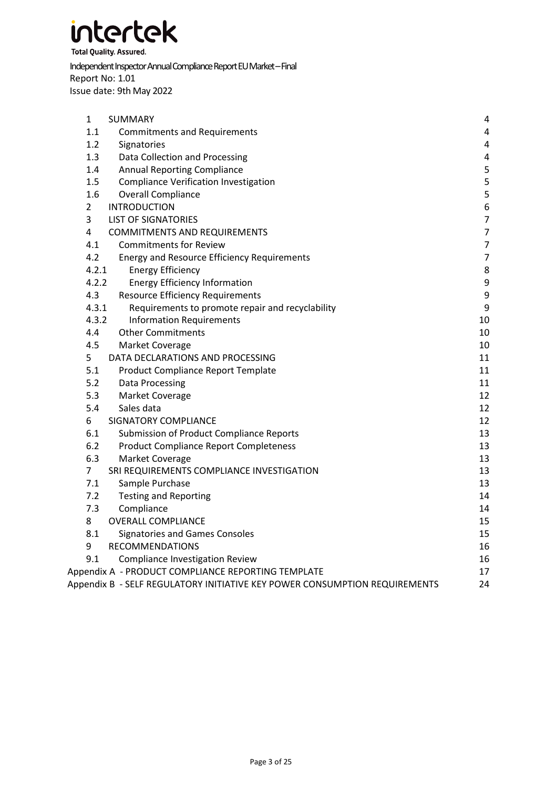

**Total Quality. Assured.** 

Independent Inspector Annual Compliance Report EU Market – Final Report No: 1.01 Issue date: 9th May 2022

| $\mathbf{1}$<br><b>SUMMARY</b>                                             | 4                       |
|----------------------------------------------------------------------------|-------------------------|
| 1.1<br><b>Commitments and Requirements</b>                                 | $\overline{\mathbf{4}}$ |
| 1.2<br>Signatories                                                         | 4                       |
| 1.3<br>Data Collection and Processing                                      | $\overline{\mathbf{4}}$ |
| 1.4<br><b>Annual Reporting Compliance</b>                                  | 5                       |
| 1.5<br><b>Compliance Verification Investigation</b>                        | 5                       |
| 1.6<br><b>Overall Compliance</b>                                           | 5                       |
| $\overline{2}$<br><b>INTRODUCTION</b>                                      | $\boldsymbol{6}$        |
| 3<br><b>LIST OF SIGNATORIES</b>                                            | $\overline{7}$          |
| $\overline{\mathbf{4}}$<br><b>COMMITMENTS AND REQUIREMENTS</b>             | $\overline{7}$          |
| <b>Commitments for Review</b><br>4.1                                       | $\overline{7}$          |
| 4.2<br><b>Energy and Resource Efficiency Requirements</b>                  | $\overline{7}$          |
| 4.2.1<br><b>Energy Efficiency</b>                                          | 8                       |
| 4.2.2<br><b>Energy Efficiency Information</b>                              | $\boldsymbol{9}$        |
| 4.3<br><b>Resource Efficiency Requirements</b>                             | $\boldsymbol{9}$        |
| 4.3.1<br>Requirements to promote repair and recyclability                  | 9                       |
| 4.3.2<br><b>Information Requirements</b>                                   | 10                      |
| 4.4<br><b>Other Commitments</b>                                            | 10                      |
| 4.5<br>Market Coverage                                                     | 10                      |
| 5<br>DATA DECLARATIONS AND PROCESSING                                      | 11                      |
| 5.1<br>Product Compliance Report Template                                  | 11                      |
| 5.2<br>Data Processing                                                     | 11                      |
| 5.3<br>Market Coverage                                                     | 12                      |
| 5.4<br>Sales data                                                          | 12                      |
| 6<br><b>SIGNATORY COMPLIANCE</b>                                           | 12                      |
| 6.1<br><b>Submission of Product Compliance Reports</b>                     | 13                      |
| 6.2<br><b>Product Compliance Report Completeness</b>                       | 13                      |
| 6.3<br>Market Coverage                                                     | 13                      |
| 7<br>SRI REQUIREMENTS COMPLIANCE INVESTIGATION                             | 13                      |
| 7.1<br>Sample Purchase                                                     | 13                      |
| 7.2<br><b>Testing and Reporting</b>                                        | 14                      |
| 7.3<br>Compliance                                                          | 14                      |
| 8<br><b>OVERALL COMPLIANCE</b>                                             | 15                      |
| 8.1<br><b>Signatories and Games Consoles</b>                               | 15                      |
| 9<br><b>RECOMMENDATIONS</b>                                                | 16                      |
| 9.1<br><b>Compliance Investigation Review</b>                              | 16                      |
| Appendix A - PRODUCT COMPLIANCE REPORTING TEMPLATE                         | 17                      |
| Appendix B - SELF REGULATORY INITIATIVE KEY POWER CONSUMPTION REQUIREMENTS | 24                      |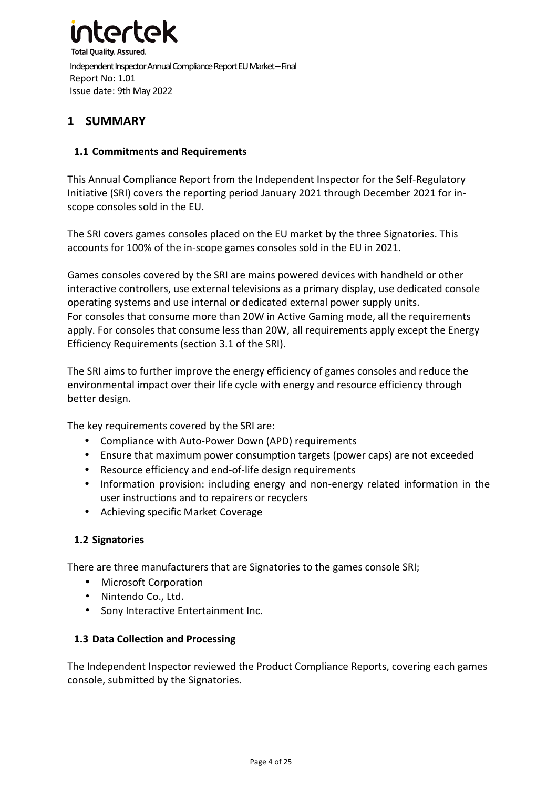

### **1 SUMMARY**

#### **1.1 Commitments and Requirements**

This Annual Compliance Report from the Independent Inspector for the Self-Regulatory Initiative (SRI) covers the reporting period January 2021 through December 2021 for inscope consoles sold in the EU.

The SRI covers games consoles placed on the EU market by the three Signatories. This accounts for 100% of the in-scope games consoles sold in the EU in 2021.

Games consoles covered by the SRI are mains powered devices with handheld or other interactive controllers, use external televisions as a primary display, use dedicated console operating systems and use internal or dedicated external power supply units. For consoles that consume more than 20W in Active Gaming mode, all the requirements apply. For consoles that consume less than 20W, all requirements apply except the Energy Efficiency Requirements (section 3.1 of the SRI).

The SRI aims to further improve the energy efficiency of games consoles and reduce the environmental impact over their life cycle with energy and resource efficiency through better design.

The key requirements covered by the SRI are:

- Compliance with Auto-Power Down (APD) requirements
- Ensure that maximum power consumption targets (power caps) are not exceeded
- Resource efficiency and end-of-life design requirements
- Information provision: including energy and non-energy related information in the user instructions and to repairers or recyclers
- Achieving specific Market Coverage

#### **1.2 Signatories**

There are three manufacturers that are Signatories to the games console SRI;

- Microsoft Corporation
- Nintendo Co., Ltd.
- Sony Interactive Entertainment Inc.

#### **1.3 Data Collection and Processing**

The Independent Inspector reviewed the Product Compliance Reports, covering each games console, submitted by the Signatories.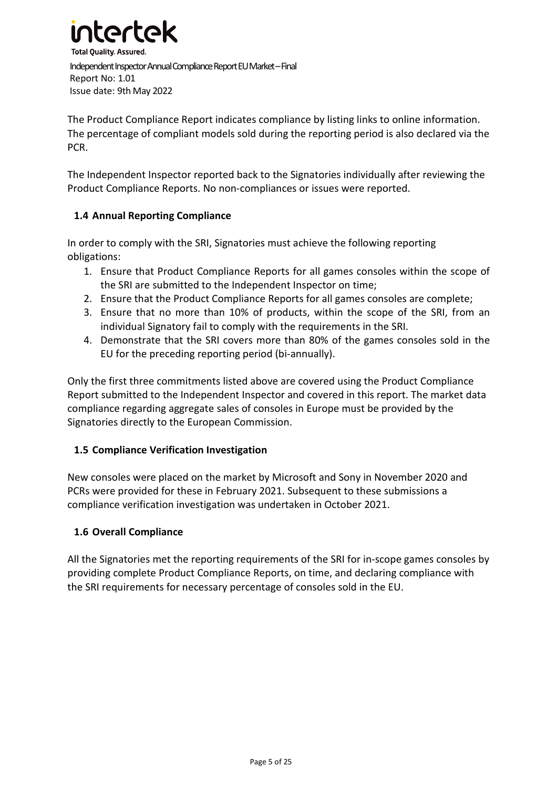

The Product Compliance Report indicates compliance by listing links to online information. The percentage of compliant models sold during the reporting period is also declared via the PCR.

The Independent Inspector reported back to the Signatories individually after reviewing the Product Compliance Reports. No non-compliances or issues were reported.

#### **1.4 Annual Reporting Compliance**

In order to comply with the SRI, Signatories must achieve the following reporting obligations:

- 1. Ensure that Product Compliance Reports for all games consoles within the scope of the SRI are submitted to the Independent Inspector on time;
- 2. Ensure that the Product Compliance Reports for all games consoles are complete;
- 3. Ensure that no more than 10% of products, within the scope of the SRI, from an individual Signatory fail to comply with the requirements in the SRI.
- 4. Demonstrate that the SRI covers more than 80% of the games consoles sold in the EU for the preceding reporting period (bi-annually).

Only the first three commitments listed above are covered using the Product Compliance Report submitted to the Independent Inspector and covered in this report. The market data compliance regarding aggregate sales of consoles in Europe must be provided by the Signatories directly to the European Commission.

#### **1.5 Compliance Verification Investigation**

New consoles were placed on the market by Microsoft and Sony in November 2020 and PCRs were provided for these in February 2021. Subsequent to these submissions a compliance verification investigation was undertaken in October 2021.

#### **1.6 Overall Compliance**

All the Signatories met the reporting requirements of the SRI for in-scope games consoles by providing complete Product Compliance Reports, on time, and declaring compliance with the SRI requirements for necessary percentage of consoles sold in the EU.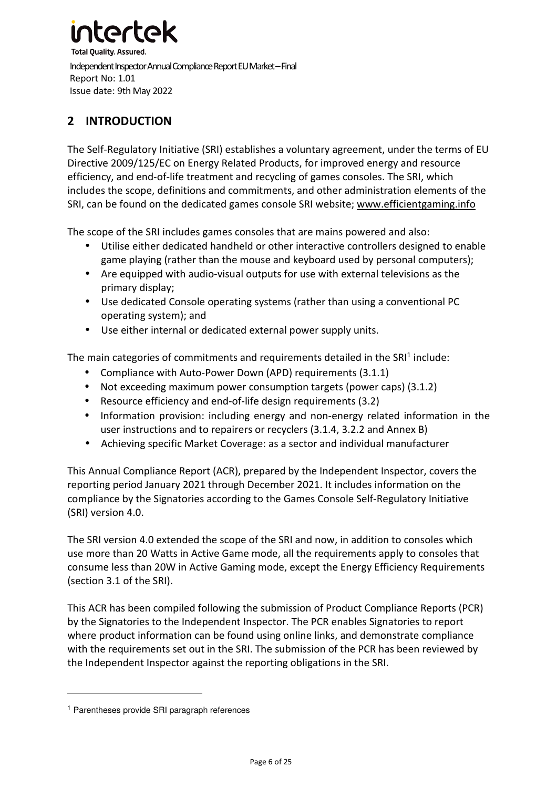# artal

**Total Quality. Assured.** Independent Inspector Annual Compliance Report EU Market – Final Report No: 1.01 Issue date: 9th May 2022

# **2 INTRODUCTION**

The Self-Regulatory Initiative (SRI) establishes a voluntary agreement, under the terms of EU Directive 2009/125/EC on Energy Related Products, for improved energy and resource efficiency, and end-of-life treatment and recycling of games consoles. The SRI, which includes the scope, definitions and commitments, and other administration elements of the SRI, can be found on the dedicated games console SRI website; www.efficientgaming.info

The scope of the SRI includes games consoles that are mains powered and also:

- Utilise either dedicated handheld or other interactive controllers designed to enable game playing (rather than the mouse and keyboard used by personal computers);
- Are equipped with audio-visual outputs for use with external televisions as the primary display;
- Use dedicated Console operating systems (rather than using a conventional PC operating system); and
- Use either internal or dedicated external power supply units.

The main categories of commitments and requirements detailed in the SRI<sup>1</sup> include:

- Compliance with Auto-Power Down (APD) requirements (3.1.1)
- Not exceeding maximum power consumption targets (power caps) (3.1.2)
- Resource efficiency and end-of-life design requirements (3.2)
- Information provision: including energy and non-energy related information in the user instructions and to repairers or recyclers (3.1.4, 3.2.2 and Annex B)
- Achieving specific Market Coverage: as a sector and individual manufacturer

This Annual Compliance Report (ACR), prepared by the Independent Inspector, covers the reporting period January 2021 through December 2021. It includes information on the compliance by the Signatories according to the Games Console Self-Regulatory Initiative (SRI) version 4.0.

The SRI version 4.0 extended the scope of the SRI and now, in addition to consoles which use more than 20 Watts in Active Game mode, all the requirements apply to consoles that consume less than 20W in Active Gaming mode, except the Energy Efficiency Requirements (section 3.1 of the SRI).

This ACR has been compiled following the submission of Product Compliance Reports (PCR) by the Signatories to the Independent Inspector. The PCR enables Signatories to report where product information can be found using online links, and demonstrate compliance with the requirements set out in the SRI. The submission of the PCR has been reviewed by the Independent Inspector against the reporting obligations in the SRI.

<sup>1</sup> Parentheses provide SRI paragraph references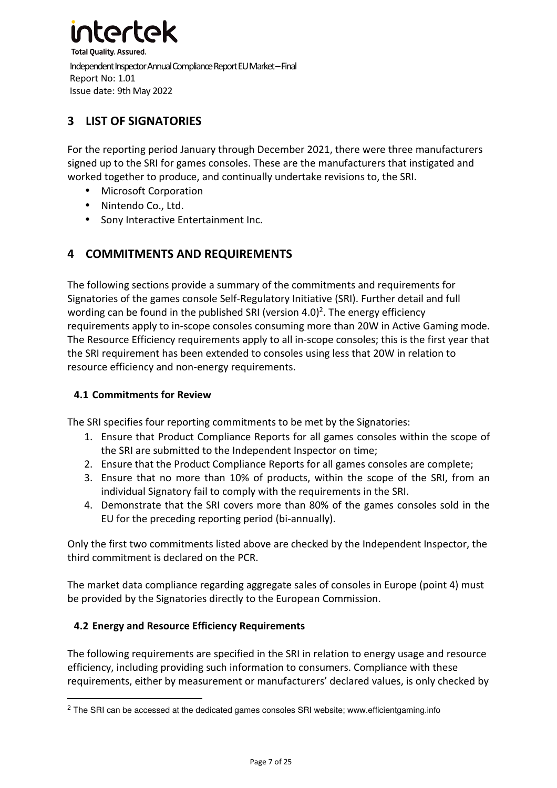

# **3 LIST OF SIGNATORIES**

For the reporting period January through December 2021, there were three manufacturers signed up to the SRI for games consoles. These are the manufacturers that instigated and worked together to produce, and continually undertake revisions to, the SRI.

- Microsoft Corporation
- Nintendo Co., Ltd.
- Sony Interactive Entertainment Inc.

### **4 COMMITMENTS AND REQUIREMENTS**

The following sections provide a summary of the commitments and requirements for Signatories of the games console Self-Regulatory Initiative (SRI). Further detail and full wording can be found in the published SRI (version 4.0)<sup>2</sup>. The energy efficiency requirements apply to in-scope consoles consuming more than 20W in Active Gaming mode. The Resource Efficiency requirements apply to all in-scope consoles; this is the first year that the SRI requirement has been extended to consoles using less that 20W in relation to resource efficiency and non-energy requirements.

#### **4.1 Commitments for Review**

The SRI specifies four reporting commitments to be met by the Signatories:

- 1. Ensure that Product Compliance Reports for all games consoles within the scope of the SRI are submitted to the Independent Inspector on time;
- 2. Ensure that the Product Compliance Reports for all games consoles are complete;
- 3. Ensure that no more than 10% of products, within the scope of the SRI, from an individual Signatory fail to comply with the requirements in the SRI.
- 4. Demonstrate that the SRI covers more than 80% of the games consoles sold in the EU for the preceding reporting period (bi-annually).

Only the first two commitments listed above are checked by the Independent Inspector, the third commitment is declared on the PCR.

The market data compliance regarding aggregate sales of consoles in Europe (point 4) must be provided by the Signatories directly to the European Commission.

#### **4.2 Energy and Resource Efficiency Requirements**

The following requirements are specified in the SRI in relation to energy usage and resource efficiency, including providing such information to consumers. Compliance with these requirements, either by measurement or manufacturers' declared values, is only checked by

<sup>&</sup>lt;sup>2</sup> The SRI can be accessed at the dedicated games consoles SRI website; www.efficientgaming.info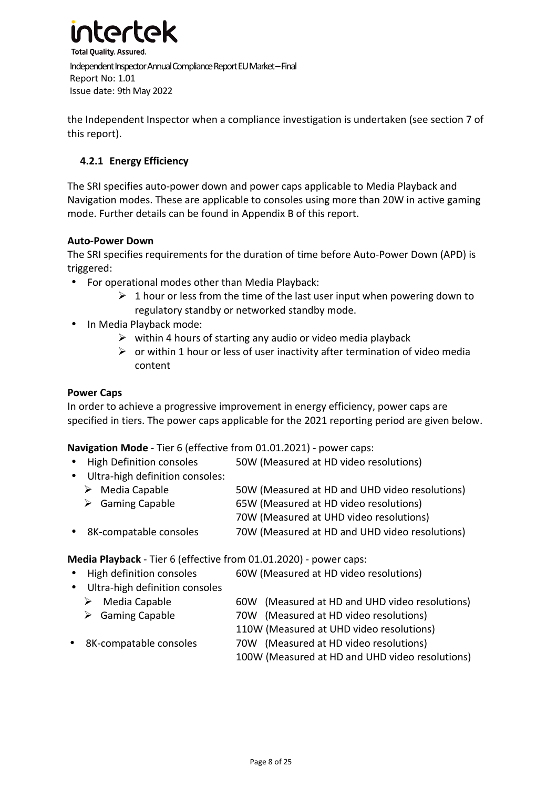

the Independent Inspector when a compliance investigation is undertaken (see section 7 of this report).

#### **4.2.1 Energy Efficiency**

The SRI specifies auto-power down and power caps applicable to Media Playback and Navigation modes. These are applicable to consoles using more than 20W in active gaming mode. Further details can be found in Appendix B of this report.

#### **Auto-Power Down**

The SRI specifies requirements for the duration of time before Auto-Power Down (APD) is triggered:

- For operational modes other than Media Playback:
	- $\geq 1$  hour or less from the time of the last user input when powering down to regulatory standby or networked standby mode.
- In Media Playback mode:
	- $\triangleright$  within 4 hours of starting any audio or video media playback
	- $\triangleright$  or within 1 hour or less of user inactivity after termination of video media content

#### **Power Caps**

In order to achieve a progressive improvement in energy efficiency, power caps are specified in tiers. The power caps applicable for the 2021 reporting period are given below.

**Navigation Mode** - Tier 6 (effective from 01.01.2021) - power caps:

- High Definition consoles 50W (Measured at HD video resolutions)
- Ultra-high definition consoles:
	- $\triangleright$  Media Capable 50W (Measured at HD and UHD video resolutions)
	- Gaming Capable 65W (Measured at HD video resolutions) 70W (Measured at UHD video resolutions)
- 8K-compatable consoles 70W (Measured at HD and UHD video resolutions)

**Media Playback** - Tier 6 (effective from 01.01.2020) - power caps:

- High definition consoles 60W (Measured at HD video resolutions)
- Ultra-high definition consoles
	- $\triangleright$  Media Capable 60W (Measured at HD and UHD video resolutions)
	- Gaming Capable 70W (Measured at HD video resolutions)
		- 110W (Measured at UHD video resolutions)
- 8K-compatable consoles 70W (Measured at HD video resolutions)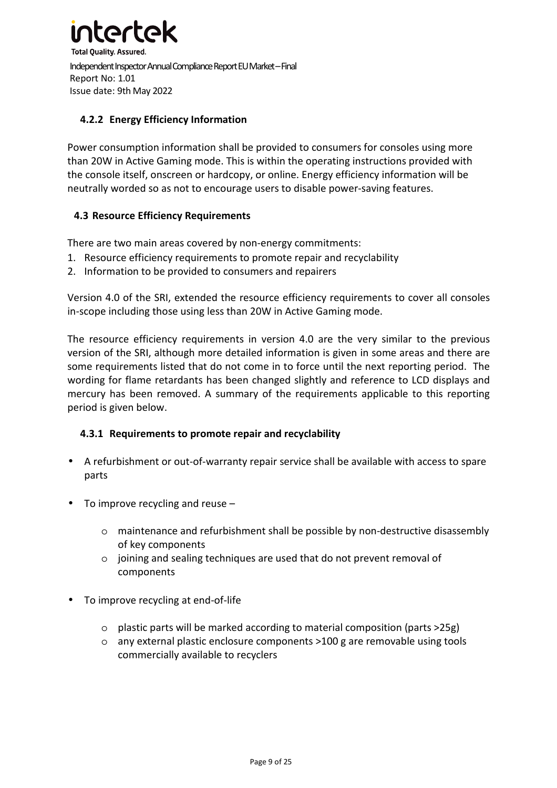

#### **4.2.2 Energy Efficiency Information**

Power consumption information shall be provided to consumers for consoles using more than 20W in Active Gaming mode. This is within the operating instructions provided with the console itself, onscreen or hardcopy, or online. Energy efficiency information will be neutrally worded so as not to encourage users to disable power-saving features.

#### **4.3 Resource Efficiency Requirements**

There are two main areas covered by non-energy commitments:

- 1. Resource efficiency requirements to promote repair and recyclability
- 2. Information to be provided to consumers and repairers

Version 4.0 of the SRI, extended the resource efficiency requirements to cover all consoles in-scope including those using less than 20W in Active Gaming mode.

The resource efficiency requirements in version 4.0 are the very similar to the previous version of the SRI, although more detailed information is given in some areas and there are some requirements listed that do not come in to force until the next reporting period. The wording for flame retardants has been changed slightly and reference to LCD displays and mercury has been removed. A summary of the requirements applicable to this reporting period is given below.

#### **4.3.1 Requirements to promote repair and recyclability**

- A refurbishment or out-of-warranty repair service shall be available with access to spare parts
- To improve recycling and reuse
	- o maintenance and refurbishment shall be possible by non-destructive disassembly of key components
	- o joining and sealing techniques are used that do not prevent removal of components
- To improve recycling at end-of-life
	- o plastic parts will be marked according to material composition (parts >25g)
	- o any external plastic enclosure components >100 g are removable using tools commercially available to recyclers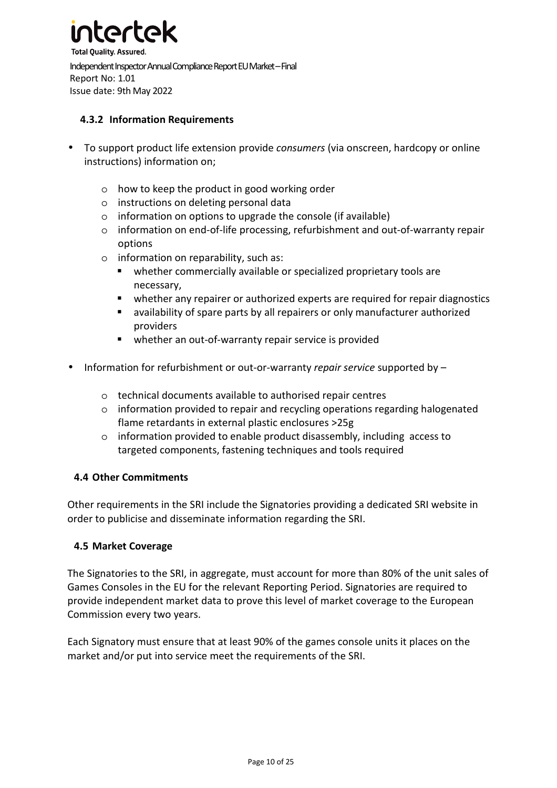

#### **4.3.2 Information Requirements**

- To support product life extension provide *consumers* (via onscreen, hardcopy or online instructions) information on;
	- o how to keep the product in good working order
	- o instructions on deleting personal data
	- o information on options to upgrade the console (if available)
	- o information on end-of-life processing, refurbishment and out-of-warranty repair options
	- o information on reparability, such as:
		- whether commercially available or specialized proprietary tools are necessary,
		- whether any repairer or authorized experts are required for repair diagnostics
		- availability of spare parts by all repairers or only manufacturer authorized providers
		- whether an out-of-warranty repair service is provided
- Information for refurbishment or out-or-warranty *repair service* supported by
	- o technical documents available to authorised repair centres
	- o information provided to repair and recycling operations regarding halogenated flame retardants in external plastic enclosures >25g
	- o information provided to enable product disassembly, including access to targeted components, fastening techniques and tools required

#### **4.4 Other Commitments**

Other requirements in the SRI include the Signatories providing a dedicated SRI website in order to publicise and disseminate information regarding the SRI.

#### **4.5 Market Coverage**

The Signatories to the SRI, in aggregate, must account for more than 80% of the unit sales of Games Consoles in the EU for the relevant Reporting Period. Signatories are required to provide independent market data to prove this level of market coverage to the European Commission every two years.

Each Signatory must ensure that at least 90% of the games console units it places on the market and/or put into service meet the requirements of the SRI.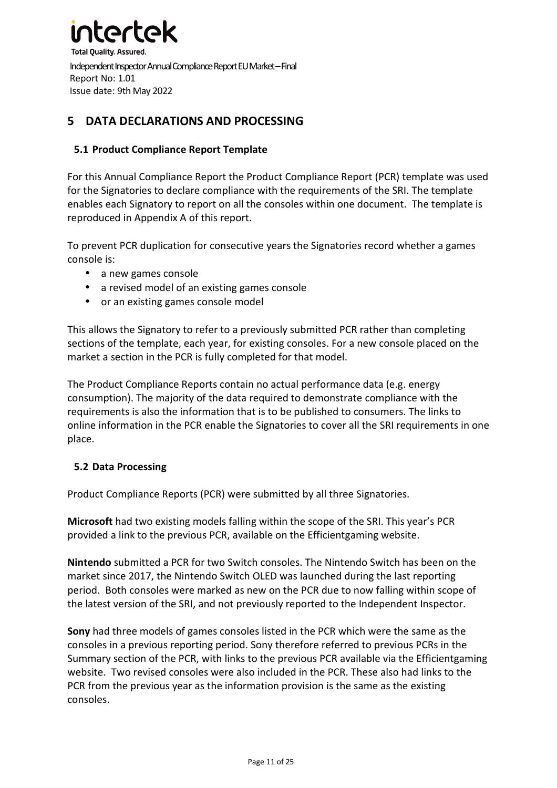

### **5 DATA DECLARATIONS AND PROCESSING**

#### **5.1 Product Compliance Report Template**

For this Annual Compliance Report the Product Compliance Report (PCR) template was used for the Signatories to declare compliance with the requirements of the SRI. The template enables each Signatory to report on all the consoles within one document. The template is reproduced in Appendix A of this report.

To prevent PCR duplication for consecutive years the Signatories record whether a games console is:

- a new games console
- a revised model of an existing games console
- or an existing games console model

This allows the Signatory to refer to a previously submitted PCR rather than completing sections of the template, each year, for existing consoles. For a new console placed on the market a section in the PCR is fully completed for that model.

The Product Compliance Reports contain no actual performance data (e.g. energy consumption). The majority of the data required to demonstrate compliance with the requirements is also the information that is to be published to consumers. The links to online information in the PCR enable the Signatories to cover all the SRI requirements in one place.

#### **5.2 Data Processing**

Product Compliance Reports (PCR) were submitted by all three Signatories.

**Microsoft** had two existing models falling within the scope of the SRI. This year's PCR provided a link to the previous PCR, available on the Efficientgaming website.

**Nintendo** submitted a PCR for two Switch consoles. The Nintendo Switch has been on the market since 2017, the Nintendo Switch OLED was launched during the last reporting period. Both consoles were marked as new on the PCR due to now falling within scope of the latest version of the SRI, and not previously reported to the Independent Inspector.

**Sony** had three models of games consoles listed in the PCR which were the same as the consoles in a previous reporting period. Sony therefore referred to previous PCRs in the Summary section of the PCR, with links to the previous PCR available via the Efficientgaming website. Two revised consoles were also included in the PCR. These also had links to the PCR from the previous year as the information provision is the same as the existing consoles.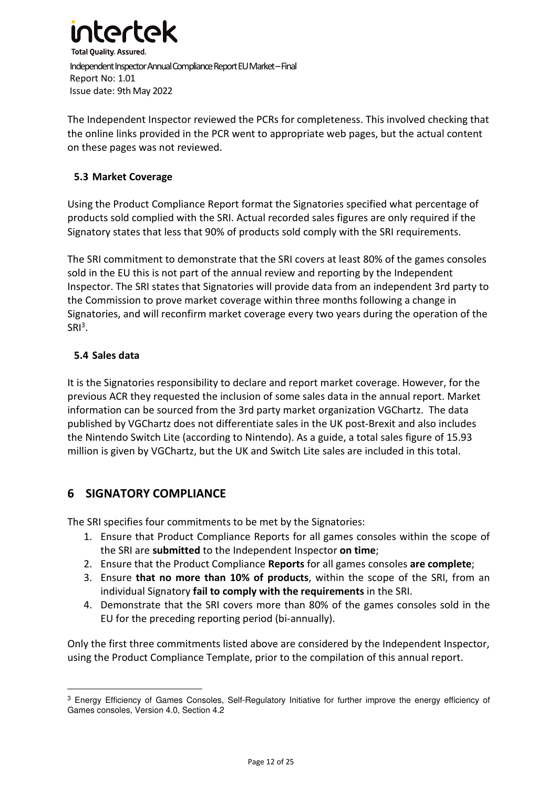

The Independent Inspector reviewed the PCRs for completeness. This involved checking that the online links provided in the PCR went to appropriate web pages, but the actual content on these pages was not reviewed.

#### **5.3 Market Coverage**

Using the Product Compliance Report format the Signatories specified what percentage of products sold complied with the SRI. Actual recorded sales figures are only required if the Signatory states that less that 90% of products sold comply with the SRI requirements.

The SRI commitment to demonstrate that the SRI covers at least 80% of the games consoles sold in the EU this is not part of the annual review and reporting by the Independent Inspector. The SRI states that Signatories will provide data from an independent 3rd party to the Commission to prove market coverage within three months following a change in Signatories, and will reconfirm market coverage every two years during the operation of the  $SRI<sup>3</sup>$ .

#### **5.4 Sales data**

It is the Signatories responsibility to declare and report market coverage. However, for the previous ACR they requested the inclusion of some sales data in the annual report. Market information can be sourced from the 3rd party market organization VGChartz. The data published by VGChartz does not differentiate sales in the UK post-Brexit and also includes the Nintendo Switch Lite (according to Nintendo). As a guide, a total sales figure of 15.93 million is given by VGChartz, but the UK and Switch Lite sales are included in this total.

### **6 SIGNATORY COMPLIANCE**

The SRI specifies four commitments to be met by the Signatories:

- 1. Ensure that Product Compliance Reports for all games consoles within the scope of the SRI are **submitted** to the Independent Inspector **on time**;
- 2. Ensure that the Product Compliance **Reports** for all games consoles **are complete**;
- 3. Ensure **that no more than 10% of products**, within the scope of the SRI, from an individual Signatory **fail to comply with the requirements** in the SRI.
- 4. Demonstrate that the SRI covers more than 80% of the games consoles sold in the EU for the preceding reporting period (bi-annually).

Only the first three commitments listed above are considered by the Independent Inspector, using the Product Compliance Template, prior to the compilation of this annual report.

<sup>&</sup>lt;sup>3</sup> Energy Efficiency of Games Consoles, Self-Regulatory Initiative for further improve the energy efficiency of Games consoles, Version 4.0, Section 4.2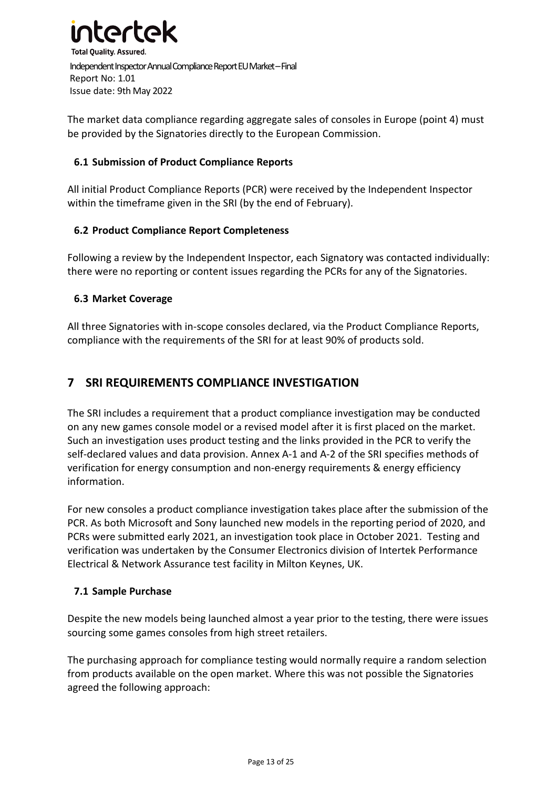

The market data compliance regarding aggregate sales of consoles in Europe (point 4) must be provided by the Signatories directly to the European Commission.

#### **6.1 Submission of Product Compliance Reports**

All initial Product Compliance Reports (PCR) were received by the Independent Inspector within the timeframe given in the SRI (by the end of February).

#### **6.2 Product Compliance Report Completeness**

Following a review by the Independent Inspector, each Signatory was contacted individually: there were no reporting or content issues regarding the PCRs for any of the Signatories.

#### **6.3 Market Coverage**

All three Signatories with in-scope consoles declared, via the Product Compliance Reports, compliance with the requirements of the SRI for at least 90% of products sold.

### **7 SRI REQUIREMENTS COMPLIANCE INVESTIGATION**

The SRI includes a requirement that a product compliance investigation may be conducted on any new games console model or a revised model after it is first placed on the market. Such an investigation uses product testing and the links provided in the PCR to verify the self-declared values and data provision. Annex A-1 and A-2 of the SRI specifies methods of verification for energy consumption and non-energy requirements & energy efficiency information.

For new consoles a product compliance investigation takes place after the submission of the PCR. As both Microsoft and Sony launched new models in the reporting period of 2020, and PCRs were submitted early 2021, an investigation took place in October 2021. Testing and verification was undertaken by the Consumer Electronics division of Intertek Performance Electrical & Network Assurance test facility in Milton Keynes, UK.

#### **7.1 Sample Purchase**

Despite the new models being launched almost a year prior to the testing, there were issues sourcing some games consoles from high street retailers.

The purchasing approach for compliance testing would normally require a random selection from products available on the open market. Where this was not possible the Signatories agreed the following approach: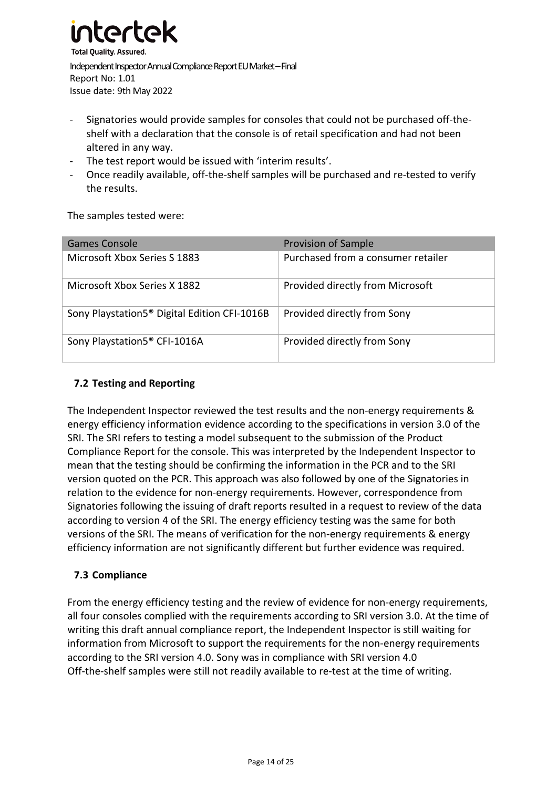

- Signatories would provide samples for consoles that could not be purchased off-theshelf with a declaration that the console is of retail specification and had not been altered in any way.
- The test report would be issued with 'interim results'.
- Once readily available, off-the-shelf samples will be purchased and re-tested to verify the results.

The samples tested were:

| Games Console                                            | <b>Provision of Sample</b>         |
|----------------------------------------------------------|------------------------------------|
| Microsoft Xbox Series S 1883                             | Purchased from a consumer retailer |
| Microsoft Xbox Series X 1882                             | Provided directly from Microsoft   |
| Sony Playstation5 <sup>®</sup> Digital Edition CFI-1016B | Provided directly from Sony        |
| Sony Playstation5 <sup>®</sup> CFI-1016A                 | Provided directly from Sony        |

#### **7.2 Testing and Reporting**

The Independent Inspector reviewed the test results and the non-energy requirements & energy efficiency information evidence according to the specifications in version 3.0 of the SRI. The SRI refers to testing a model subsequent to the submission of the Product Compliance Report for the console. This was interpreted by the Independent Inspector to mean that the testing should be confirming the information in the PCR and to the SRI version quoted on the PCR. This approach was also followed by one of the Signatories in relation to the evidence for non-energy requirements. However, correspondence from Signatories following the issuing of draft reports resulted in a request to review of the data according to version 4 of the SRI. The energy efficiency testing was the same for both versions of the SRI. The means of verification for the non-energy requirements & energy efficiency information are not significantly different but further evidence was required.

#### **7.3 Compliance**

From the energy efficiency testing and the review of evidence for non-energy requirements, all four consoles complied with the requirements according to SRI version 3.0. At the time of writing this draft annual compliance report, the Independent Inspector is still waiting for information from Microsoft to support the requirements for the non-energy requirements according to the SRI version 4.0. Sony was in compliance with SRI version 4.0 Off-the-shelf samples were still not readily available to re-test at the time of writing.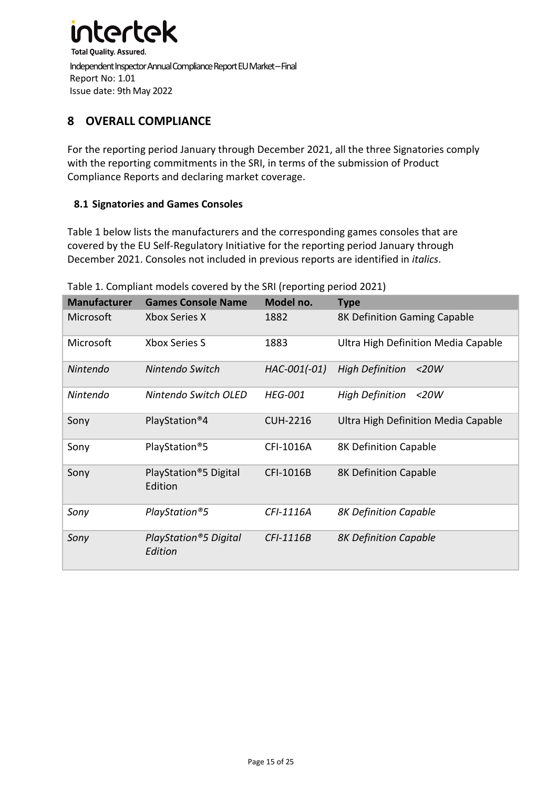

## **8 OVERALL COMPLIANCE**

For the reporting period January through December 2021, all the three Signatories comply with the reporting commitments in the SRI, in terms of the submission of Product Compliance Reports and declaring market coverage.

#### **8.1 Signatories and Games Consoles**

Table 1 below lists the manufacturers and the corresponding games consoles that are covered by the EU Self-Regulatory Initiative for the reporting period January through December 2021. Consoles not included in previous reports are identified in *italics*.

| <b>Manufacturer</b> | <b>Games Console Name</b>                     | Model no.       | <b>Type</b>                         |
|---------------------|-----------------------------------------------|-----------------|-------------------------------------|
| Microsoft           | Xbox Series X                                 | 1882            | 8K Definition Gaming Capable        |
| Microsoft           | <b>Xbox Series S</b>                          | 1883            | Ultra High Definition Media Capable |
| <b>Nintendo</b>     | Nintendo Switch                               | HAC-001(-01)    | <b>High Definition</b><br>$<$ 20W   |
| <b>Nintendo</b>     | Nintendo Switch OLED                          | <b>HEG-001</b>  | <b>High Definition</b><br>$<$ 20W   |
| Sony                | PlayStation <sup>®</sup> 4                    | <b>CUH-2216</b> | Ultra High Definition Media Capable |
| Sony                | PlayStation®5                                 | CFI-1016A       | 8K Definition Capable               |
| Sony                | PlayStation <sup>®</sup> 5 Digital<br>Edition | CFI-1016B       | 8K Definition Capable               |
| Sony                | PlayStation®5                                 | CFI-1116A       | <b>8K Definition Capable</b>        |
| Sony                | <b>PlayStation®5 Digital</b><br>Edition       | CFI-1116B       | <b>8K Definition Capable</b>        |

Table 1. Compliant models covered by the SRI (reporting period 2021)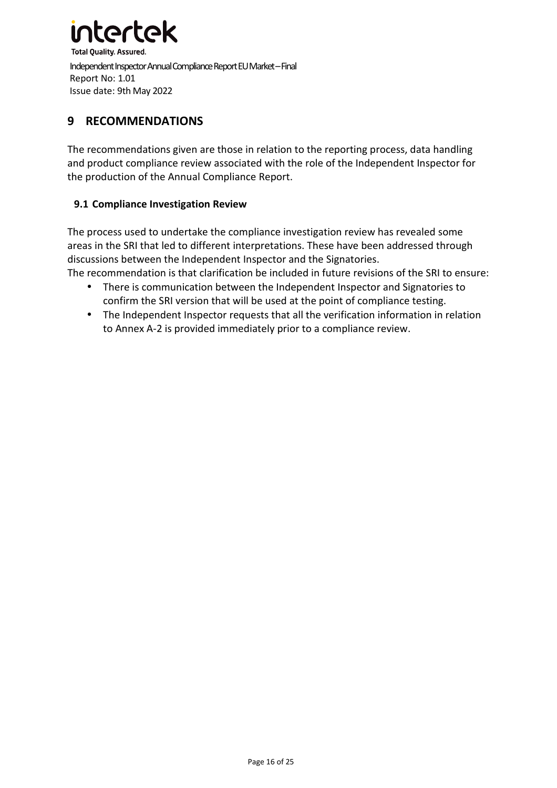

### **9 RECOMMENDATIONS**

The recommendations given are those in relation to the reporting process, data handling and product compliance review associated with the role of the Independent Inspector for the production of the Annual Compliance Report.

#### **9.1 Compliance Investigation Review**

The process used to undertake the compliance investigation review has revealed some areas in the SRI that led to different interpretations. These have been addressed through discussions between the Independent Inspector and the Signatories.

The recommendation is that clarification be included in future revisions of the SRI to ensure:

- There is communication between the Independent Inspector and Signatories to confirm the SRI version that will be used at the point of compliance testing.
- The Independent Inspector requests that all the verification information in relation to Annex A-2 is provided immediately prior to a compliance review.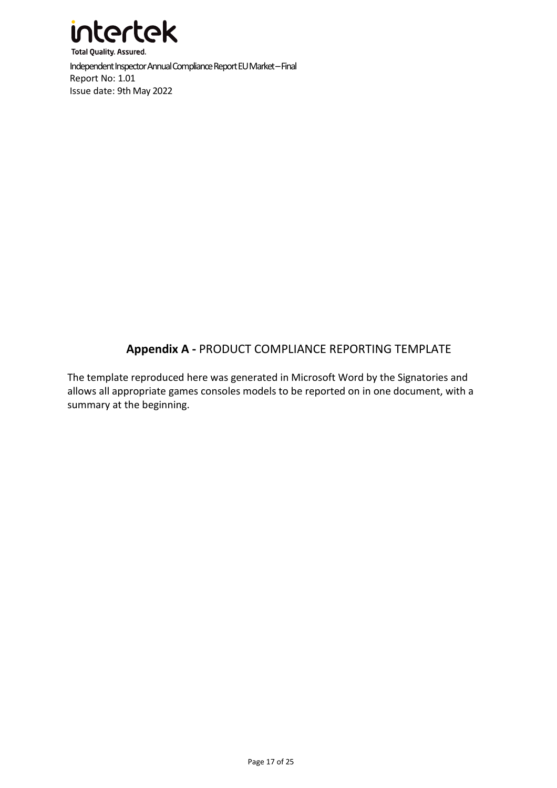

# **Appendix A -** PRODUCT COMPLIANCE REPORTING TEMPLATE

The template reproduced here was generated in Microsoft Word by the Signatories and allows all appropriate games consoles models to be reported on in one document, with a summary at the beginning.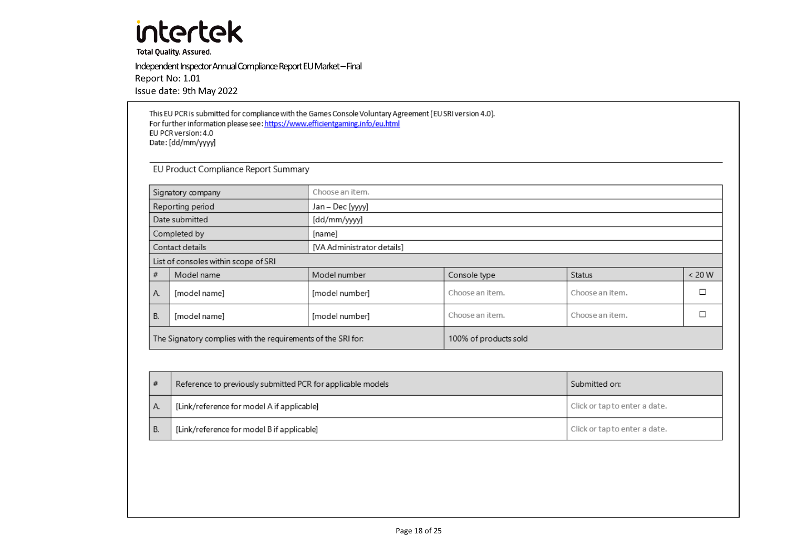**Total Quality. Assured.** 

Independent Inspector Annual Compliance Report EU Market – Final Report No: 1.01 Issue date: 9th May 2022

This EU PCR is submitted for compliance with the Games Console Voluntary Agreement (EU SRI version 4.0). For further information please see: https://www.efficientgaming.info/eu.html EU PCR version: 4.0 Date: [dd/mm/yyyy]

EU Product Compliance Report Summary

| Choose an item.<br>Signatory company |                                                              |                            |                       |                 |        |  |  |
|--------------------------------------|--------------------------------------------------------------|----------------------------|-----------------------|-----------------|--------|--|--|
|                                      | Reporting period                                             | Jan – Dec [yyyy]           |                       |                 |        |  |  |
|                                      | Date submitted                                               | [dd/mm/yyyy]               |                       |                 |        |  |  |
|                                      | Completed by                                                 | [name]                     |                       |                 |        |  |  |
|                                      | Contact details                                              | [VA Administrator details] |                       |                 |        |  |  |
| List of consoles within scope of SRI |                                                              |                            |                       |                 |        |  |  |
| #                                    | Model name                                                   | Model number               | Console type          | Status          | < 20 W |  |  |
| Α.                                   | [model name]                                                 | [model number]             | Choose an item.       | Choose an item. |        |  |  |
| <b>B.</b>                            | [model name]                                                 | [model number]             | Choose an item.       | Choose an item. |        |  |  |
|                                      | The Signatory complies with the requirements of the SRI for: |                            | 100% of products sold |                 |        |  |  |

|    | Reference to previously submitted PCR for applicable models | Submitted on:                 |
|----|-------------------------------------------------------------|-------------------------------|
| Α  | [Link/reference for model A if applicable]                  | Click or tap to enter a date. |
| В. | [Link/reference for model B if applicable]                  | Click or tap to enter a date. |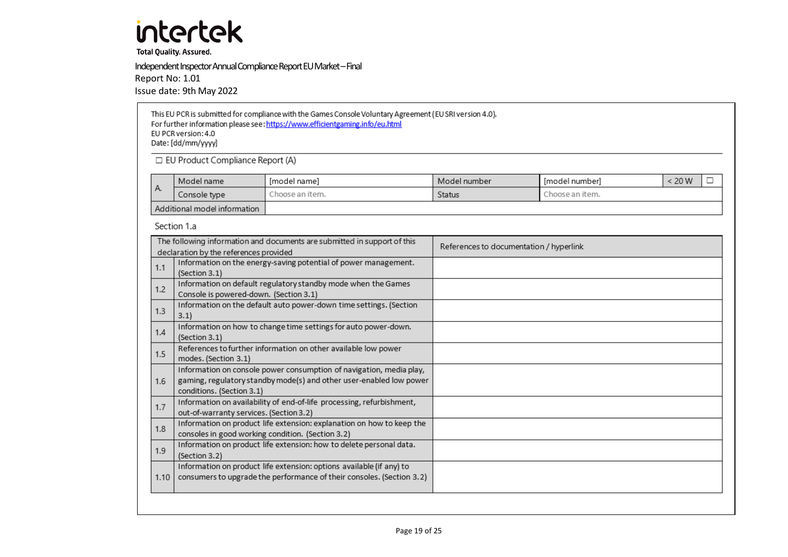**Total Quality. Assured.** 

Independent Inspector Annual Compliance Report EU Market – Final

Report No: 1.01

Issue date: 9th May 2022

|      | This EU PCR is submitted for compliance with the Games Console Voluntary Agreement (EU SRI version 4.0).<br>For further information please see: https://www.efficientgaming.info/eu.html<br>EU PCR version: 4.0<br>Date: [dd/mm/yyyy] |                                                                                                                                               |                                         |                 |             |
|------|---------------------------------------------------------------------------------------------------------------------------------------------------------------------------------------------------------------------------------------|-----------------------------------------------------------------------------------------------------------------------------------------------|-----------------------------------------|-----------------|-------------|
|      | □ EU Product Compliance Report (A)                                                                                                                                                                                                    |                                                                                                                                               |                                         |                 |             |
|      | Model name                                                                                                                                                                                                                            | [model name]                                                                                                                                  | Model number                            | [model number]  | < 20 W<br>□ |
| А.   | Console type                                                                                                                                                                                                                          | Choose an item.                                                                                                                               | <b>Status</b>                           | Choose an item. |             |
|      | Additional model information                                                                                                                                                                                                          |                                                                                                                                               |                                         |                 |             |
|      | Section 1.a                                                                                                                                                                                                                           |                                                                                                                                               |                                         |                 |             |
|      | declaration by the references provided                                                                                                                                                                                                | The following information and documents are submitted in support of this                                                                      | References to documentation / hyperlink |                 |             |
| 1.1  | Information on the energy-saving potential of power management.<br>(Section 3.1)                                                                                                                                                      |                                                                                                                                               |                                         |                 |             |
| 1.2  | Information on default regulatory standby mode when the Games<br>Console is powered-down. (Section 3.1)                                                                                                                               |                                                                                                                                               |                                         |                 |             |
| 1.3  | 3.1                                                                                                                                                                                                                                   | Information on the default auto power-down time settings. (Section                                                                            |                                         |                 |             |
| 1.4  | (Section 3.1)                                                                                                                                                                                                                         | Information on how to change time settings for auto power-down.                                                                               |                                         |                 |             |
| 1.5  | modes. (Section 3.1)                                                                                                                                                                                                                  | References to further information on other available low power                                                                                |                                         |                 |             |
| 1.6  | Information on console power consumption of navigation, media play,<br>gaming, regulatory standby mode(s) and other user-enabled low power<br>conditions. (Section 3.1)                                                               |                                                                                                                                               |                                         |                 |             |
| 1.7  | out-of-warranty services. (Section 3.2)                                                                                                                                                                                               | Information on availability of end-of-life processing, refurbishment,                                                                         |                                         |                 |             |
| 1.8  | Information on product life extension: explanation on how to keep the<br>consoles in good working condition. (Section 3.2)                                                                                                            |                                                                                                                                               |                                         |                 |             |
| 1.9  | Information on product life extension: how to delete personal data.<br>(Section 3.2)                                                                                                                                                  |                                                                                                                                               |                                         |                 |             |
| 1.10 |                                                                                                                                                                                                                                       | Information on product life extension: options available (if any) to<br>consumers to upgrade the performance of their consoles. (Section 3.2) |                                         |                 |             |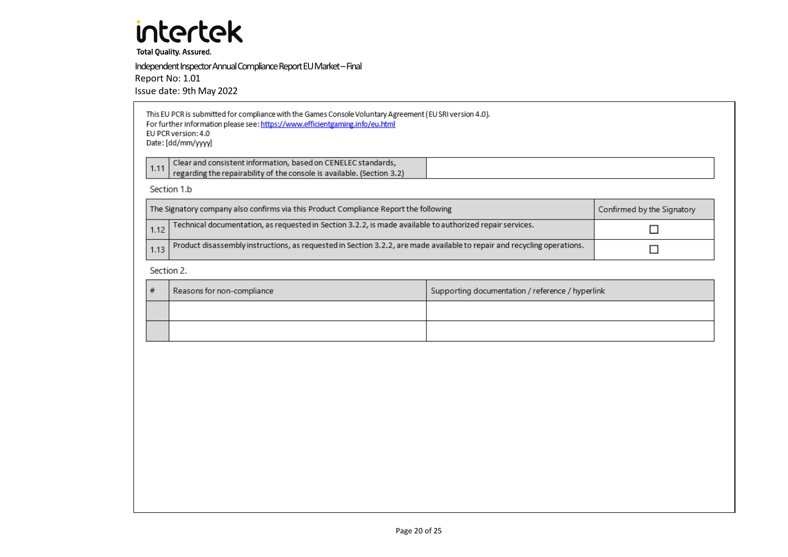**Total Quality. Assured.** 

Independent Inspector Annual Compliance Report EU Market – FinalReport No: 1.01

Issue date: 9th May 2022

| This EU PCR is submitted for compliance with the Games Console Voluntary Agreement (EU SRI version 4.0). |  |
|----------------------------------------------------------------------------------------------------------|--|
| For further information please see: https://www.efficientgaming.info/eu.html                             |  |
| EU PCR version: 4.0                                                                                      |  |
| Date: [dd/mm/yyyy]                                                                                       |  |
|                                                                                                          |  |

| regarding the repairability of the console is available. (Section 3.2) | Clear and consistent information, based on CENELEC standards. |
|------------------------------------------------------------------------|---------------------------------------------------------------|
|                                                                        |                                                               |

#### Section 1.b

| The Signatory company also confirms via this Product Compliance Report the following                                                   | Confirmed by the Signatory |
|----------------------------------------------------------------------------------------------------------------------------------------|----------------------------|
| 1.12 Technical documentation, as requested in Section 3.2.2, is made available to authorized repair services.                          |                            |
| $\lfloor$ 1.13 Product disassembly instructions, as requested in Section 3.2.2, are made available to repair and recycling operations. |                            |

#### Section 2.

| Reasons for non-compliance | Supporting documentation / reference / hyperlink |
|----------------------------|--------------------------------------------------|
|                            |                                                  |
|                            |                                                  |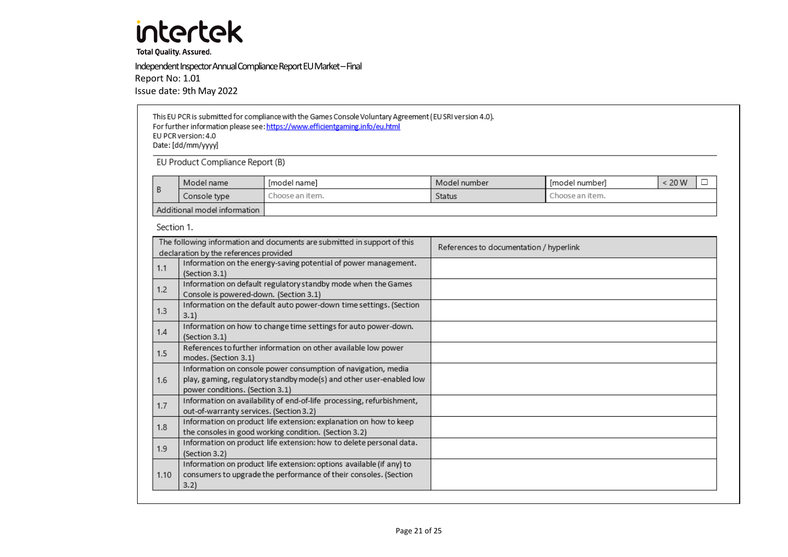**Total Quality. Assured.** 

Independent Inspector Annual Compliance Report EU Market – Final Report No: 1.01 Issue date: 9th May 2022

This EU PCR is submitted for compliance with the Games Console Voluntary Agreement (EU SRI version 4.0). For further information please see: https://www.efficientgaming.info/eu.html EU PCR version: 4.0 Date: [dd/mm/yyyy]

EU Product Compliance Report (B)

|                              | Model name   | Imodel namel    | Model number | Imodel numberl  | 20 W |  |
|------------------------------|--------------|-----------------|--------------|-----------------|------|--|
|                              | Console type | :hoose an item. | Status       | "hoose an item. |      |  |
| Additional model information |              |                 |              |                 |      |  |

Section 1.

|      | The following information and documents are submitted in support of this                                                                                                | References to documentation / hyperlink |
|------|-------------------------------------------------------------------------------------------------------------------------------------------------------------------------|-----------------------------------------|
| 1.1  | declaration by the references provided<br>Information on the energy-saving potential of power management.<br>(Section 3.1)                                              |                                         |
| 1.2  | Information on default regulatory standby mode when the Games<br>Console is powered-down. (Section 3.1)                                                                 |                                         |
| 1.3  | Information on the default auto power-down time settings. (Section<br>3.1)                                                                                              |                                         |
| 1.4  | Information on how to change time settings for auto power-down.<br>(Section 3.1)                                                                                        |                                         |
| 1.5  | References to further information on other available low power<br>modes. (Section 3.1)                                                                                  |                                         |
| 1.6  | Information on console power consumption of navigation, media<br>play, gaming, regulatory standby mode(s) and other user-enabled low<br>power conditions. (Section 3.1) |                                         |
| 1.7  | Information on availability of end-of-life processing, refurbishment,<br>out-of-warranty services. (Section 3.2)                                                        |                                         |
| 1.8  | Information on product life extension: explanation on how to keep<br>the consoles in good working condition. (Section 3.2)                                              |                                         |
| 1.9  | Information on product life extension: how to delete personal data.<br>(Section 3.2)                                                                                    |                                         |
| 1.10 | Information on product life extension: options available (if any) to<br>consumers to upgrade the performance of their consoles. (Section<br>3.2)                        |                                         |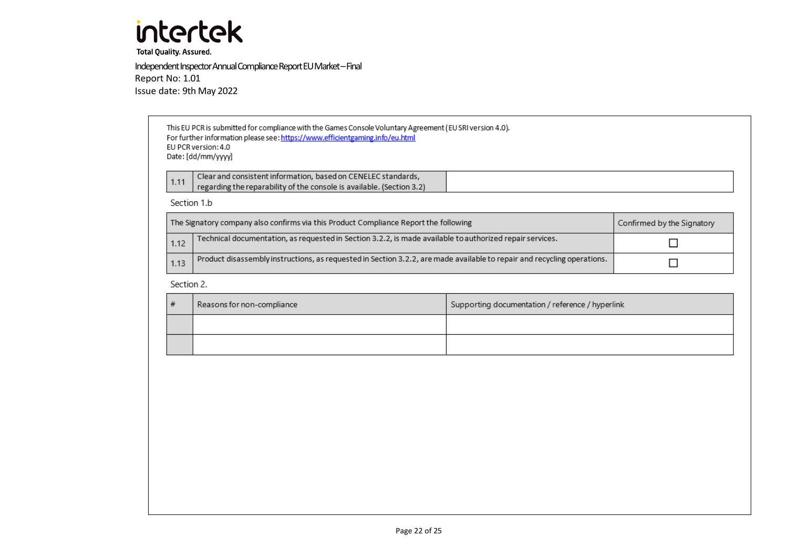**Total Quality. Assured.** 

Independent Inspector Annual Compliance Report EU Market – Final Report No: 1.01 Issue date: 9th May 2022

> This EU PCR is submitted for compliance with the Games Console Voluntary Agreement (EU SRI version 4.0). For further information please see: https://www.efficientgaming.info/eu.html EU PCR version: 4.0 Date: [dd/mm/yyyy] Clear and consistent information, based on CENELEC standards,  $1.11$ regarding the reparability of the console is available. (Section 3.2)

Section 1.b

|      | The Signatory company also confirms via this Product Compliance Report the following                                    | Confirmed by the Signatory |
|------|-------------------------------------------------------------------------------------------------------------------------|----------------------------|
| 1.12 | Technical documentation, as requested in Section 3.2.2, is made available to authorized repair services.                |                            |
| 1.13 | Product disassembly instructions, as requested in Section 3.2.2, are made available to repair and recycling operations. |                            |

Section 2.

| Reasons for non-compliance | Supporting documentation / reference / hyperlink |
|----------------------------|--------------------------------------------------|
|                            |                                                  |
|                            |                                                  |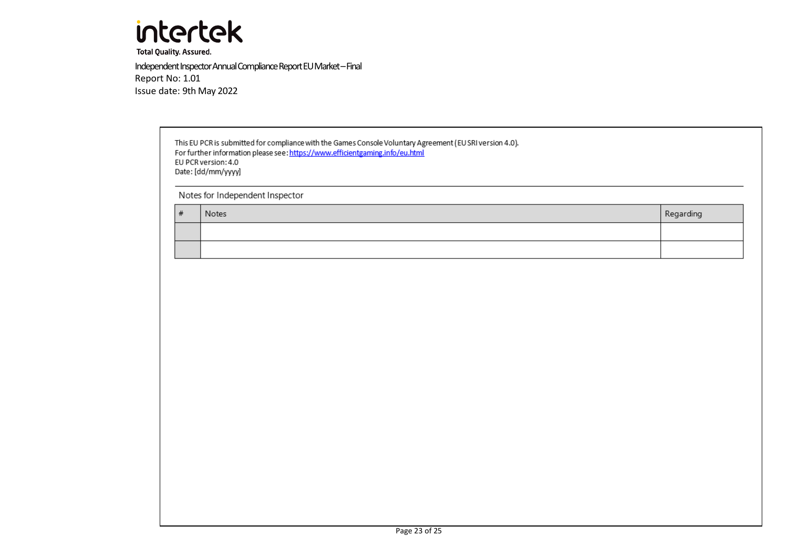

**Total Quality. Assured.** 

Independent Inspector Annual Compliance Report EU Market – Final Report No: 1.01 Issue date: 9th May 2022

> This EU PCR is submitted for compliance with the Games Console Voluntary Agreement (EU SRI version 4.0). For further information please see: https://www.efficientgaming.info/eu.html EU PCR version: 4.0 Date: [dd/mm/yyyy]

Notes for Independent Inspector

| # | Notes | Regarding |
|---|-------|-----------|
|   |       |           |
|   |       |           |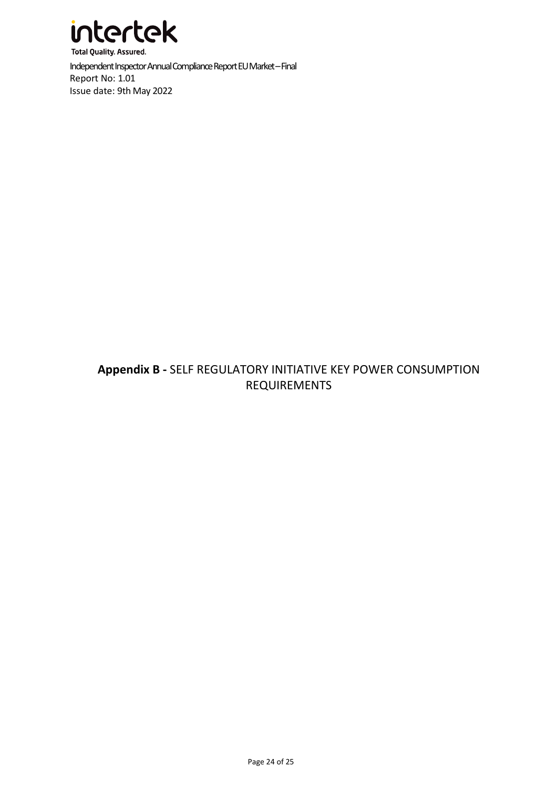

# **Appendix B -** SELF REGULATORY INITIATIVE KEY POWER CONSUMPTION REQUIREMENTS